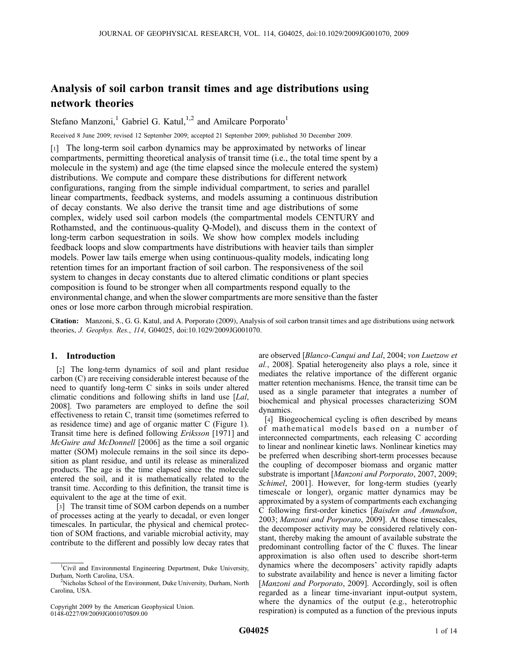# Analysis of soil carbon transit times and age distributions using network theories

Stefano Manzoni,<sup>1</sup> Gabriel G. Katul,<sup>1,2</sup> and Amilcare Porporato<sup>1</sup>

Received 8 June 2009; revised 12 September 2009; accepted 21 September 2009; published 30 December 2009.

[1] The long-term soil carbon dynamics may be approximated by networks of linear compartments, permitting theoretical analysis of transit time (i.e., the total time spent by a molecule in the system) and age (the time elapsed since the molecule entered the system) distributions. We compute and compare these distributions for different network configurations, ranging from the simple individual compartment, to series and parallel linear compartments, feedback systems, and models assuming a continuous distribution of decay constants. We also derive the transit time and age distributions of some complex, widely used soil carbon models (the compartmental models CENTURY and Rothamsted, and the continuous-quality Q-Model), and discuss them in the context of long-term carbon sequestration in soils. We show how complex models including feedback loops and slow compartments have distributions with heavier tails than simpler models. Power law tails emerge when using continuous-quality models, indicating long retention times for an important fraction of soil carbon. The responsiveness of the soil system to changes in decay constants due to altered climatic conditions or plant species composition is found to be stronger when all compartments respond equally to the environmental change, and when the slower compartments are more sensitive than the faster ones or lose more carbon through microbial respiration.

Citation: Manzoni, S., G. G. Katul, and A. Porporato (2009), Analysis of soil carbon transit times and age distributions using network theories, J. Geophys. Res., 114, G04025, doi:10.1029/2009JG001070.

# 1. Introduction

[2] The long-term dynamics of soil and plant residue carbon (C) are receiving considerable interest because of the need to quantify long-term C sinks in soils under altered climatic conditions and following shifts in land use [Lal, 2008]. Two parameters are employed to define the soil effectiveness to retain C, transit time (sometimes referred to as residence time) and age of organic matter C (Figure 1). Transit time here is defined following Eriksson [1971] and McGuire and McDonnell [2006] as the time a soil organic matter (SOM) molecule remains in the soil since its deposition as plant residue, and until its release as mineralized products. The age is the time elapsed since the molecule entered the soil, and it is mathematically related to the transit time. According to this definition, the transit time is equivalent to the age at the time of exit.

[3] The transit time of SOM carbon depends on a number of processes acting at the yearly to decadal, or even longer timescales. In particular, the physical and chemical protection of SOM fractions, and variable microbial activity, may contribute to the different and possibly low decay rates that

are observed [Blanco-Canqui and Lal, 2004; von Luetzow et al., 2008]. Spatial heterogeneity also plays a role, since it mediates the relative importance of the different organic matter retention mechanisms. Hence, the transit time can be used as a single parameter that integrates a number of biochemical and physical processes characterizing SOM dynamics.

[4] Biogeochemical cycling is often described by means of mathematical models based on a number of interconnected compartments, each releasing C according to linear and nonlinear kinetic laws. Nonlinear kinetics may be preferred when describing short-term processes because the coupling of decomposer biomass and organic matter substrate is important [Manzoni and Porporato, 2007, 2009; Schimel, 2001]. However, for long-term studies (yearly timescale or longer), organic matter dynamics may be approximated by a system of compartments each exchanging C following first-order kinetics [Baisden and Amundson, 2003; Manzoni and Porporato, 2009]. At those timescales, the decomposer activity may be considered relatively constant, thereby making the amount of available substrate the predominant controlling factor of the C fluxes. The linear approximation is also often used to describe short-term dynamics where the decomposers' activity rapidly adapts to substrate availability and hence is never a limiting factor [Manzoni and Porporato, 2009]. Accordingly, soil is often regarded as a linear time-invariant input-output system, where the dynamics of the output (e.g., heterotrophic respiration) is computed as a function of the previous inputs

<sup>&</sup>lt;sup>1</sup>Civil and Environmental Engineering Department, Duke University, Durham, North Carolina, USA. <sup>2</sup>

<sup>&</sup>lt;sup>2</sup>Nicholas School of the Environment, Duke University, Durham, North Carolina, USA.

Copyright 2009 by the American Geophysical Union. 0148-0227/09/2009JG001070\$09.00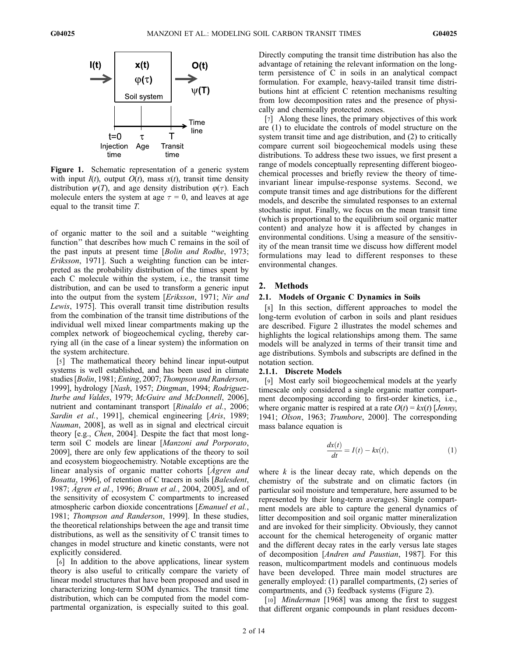

Figure 1. Schematic representation of a generic system with input  $I(t)$ , output  $O(t)$ , mass  $x(t)$ , transit time density distribution  $\psi(T)$ , and age density distribution  $\varphi(\tau)$ . Each molecule enters the system at age  $\tau = 0$ , and leaves at age equal to the transit time T.

of organic matter to the soil and a suitable ''weighting function'' that describes how much C remains in the soil of the past inputs at present time [Bolin and Rodhe, 1973; Eriksson, 1971]. Such a weighting function can be interpreted as the probability distribution of the times spent by each C molecule within the system, i.e., the transit time distribution, and can be used to transform a generic input into the output from the system [Eriksson, 1971; Nir and Lewis, 1975]. This overall transit time distribution results from the combination of the transit time distributions of the individual well mixed linear compartments making up the complex network of biogeochemical cycling, thereby carrying all (in the case of a linear system) the information on the system architecture.

[5] The mathematical theory behind linear input-output systems is well established, and has been used in climate studies [Bolin, 1981; Enting, 2007; Thompson and Randerson, 1999], hydrology [Nash, 1957; Dingman, 1994; Rodriguez-Iturbe and Valdes, 1979; McGuire and McDonnell, 2006], nutrient and contaminant transport [Rinaldo et al., 2006; Sardin et al., 1991], chemical engineering [Aris, 1989; Nauman, 2008], as well as in signal and electrical circuit theory [e.g., Chen, 2004]. Despite the fact that most longterm soil C models are linear [Manzoni and Porporato, 2009], there are only few applications of the theory to soil and ecosystem biogeochemistry. Notable exceptions are the linear analysis of organic matter cohorts [*Agren and* Bosatta, 1996], of retention of C tracers in soils [Balesdent, 1987; Agren et al., 1996; Bruun et al., 2004, 2005], and of the sensitivity of ecosystem C compartments to increased atmospheric carbon dioxide concentrations [Emanuel et al., 1981; Thompson and Randerson, 1999]. In these studies, the theoretical relationships between the age and transit time distributions, as well as the sensitivity of C transit times to changes in model structure and kinetic constants, were not explicitly considered.

[6] In addition to the above applications, linear system theory is also useful to critically compare the variety of linear model structures that have been proposed and used in characterizing long-term SOM dynamics. The transit time distribution, which can be computed from the model compartmental organization, is especially suited to this goal.

Directly computing the transit time distribution has also the advantage of retaining the relevant information on the longterm persistence of C in soils in an analytical compact formulation. For example, heavy-tailed transit time distributions hint at efficient C retention mechanisms resulting from low decomposition rates and the presence of physically and chemically protected zones.

[7] Along these lines, the primary objectives of this work are (1) to elucidate the controls of model structure on the system transit time and age distribution, and (2) to critically compare current soil biogeochemical models using these distributions. To address these two issues, we first present a range of models conceptually representing different biogeochemical processes and briefly review the theory of timeinvariant linear impulse-response systems. Second, we compute transit times and age distributions for the different models, and describe the simulated responses to an external stochastic input. Finally, we focus on the mean transit time (which is proportional to the equilibrium soil organic matter content) and analyze how it is affected by changes in environmental conditions. Using a measure of the sensitivity of the mean transit time we discuss how different model formulations may lead to different responses to these environmental changes.

# 2. Methods

#### 2.1. Models of Organic C Dynamics in Soils

[8] In this section, different approaches to model the long-term evolution of carbon in soils and plant residues are described. Figure 2 illustrates the model schemes and highlights the logical relationships among them. The same models will be analyzed in terms of their transit time and age distributions. Symbols and subscripts are defined in the notation section.

#### 2.1.1. Discrete Models

[9] Most early soil biogeochemical models at the yearly timescale only considered a single organic matter compartment decomposing according to first-order kinetics, i.e., where organic matter is respired at a rate  $O(t) = kx(t)$  [Jenny, 1941; Olson, 1963; Trumbore, 2000]. The corresponding mass balance equation is

$$
\frac{dx(t)}{dt} = I(t) - kx(t),\tag{1}
$$

where  $k$  is the linear decay rate, which depends on the chemistry of the substrate and on climatic factors (in particular soil moisture and temperature, here assumed to be represented by their long-term averages). Single compartment models are able to capture the general dynamics of litter decomposition and soil organic matter mineralization and are invoked for their simplicity. Obviously, they cannot account for the chemical heterogeneity of organic matter and the different decay rates in the early versus late stages of decomposition [Andren and Paustian, 1987]. For this reason, multicompartment models and continuous models have been developed. Three main model structures are generally employed: (1) parallel compartments, (2) series of compartments, and (3) feedback systems (Figure 2).

[10] *Minderman* [1968] was among the first to suggest that different organic compounds in plant residues decom-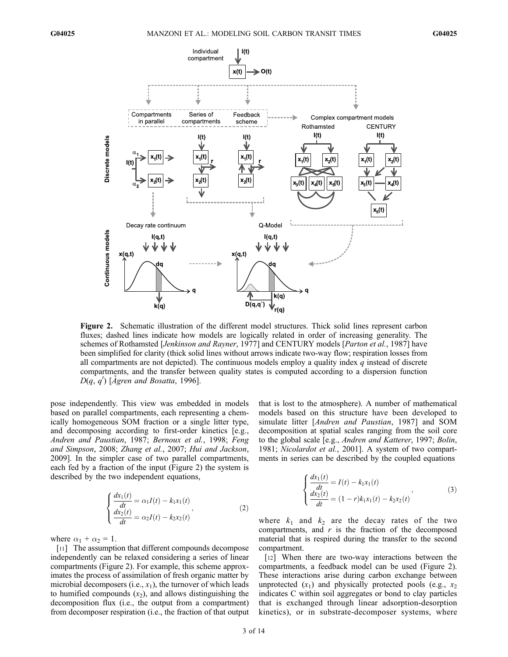

Figure 2. Schematic illustration of the different model structures. Thick solid lines represent carbon fluxes; dashed lines indicate how models are logically related in order of increasing generality. The schemes of Rothamsted [Jenkinson and Rayner, 1977] and CENTURY models [Parton et al., 1987] have been simplified for clarity (thick solid lines without arrows indicate two-way flow; respiration losses from all compartments are not depicted). The continuous models employ a quality index  $q$  instead of discrete compartments, and the transfer between quality states is computed according to a dispersion function  $D(q, q')$  [Ågren and Bosatta, 1996].

pose independently. This view was embedded in models based on parallel compartments, each representing a chemically homogeneous SOM fraction or a single litter type, and decomposing according to first-order kinetics [e.g., Andren and Paustian, 1987; Bernoux et al., 1998; Feng and Simpson, 2008; Zhang et al., 2007; Hui and Jackson, 2009]. In the simpler case of two parallel compartments, each fed by a fraction of the input (Figure 2) the system is described by the two independent equations,

$$
\begin{cases}\n\frac{dx_1(t)}{dt} = \alpha_1 I(t) - k_1 x_1(t) \\
\frac{dx_2(t)}{dt} = \alpha_2 I(t) - k_2 x_2(t)\n\end{cases}
$$
\n(2)

where  $\alpha_1 + \alpha_2 = 1$ .

[11] The assumption that different compounds decompose independently can be relaxed considering a series of linear compartments (Figure 2). For example, this scheme approximates the process of assimilation of fresh organic matter by microbial decomposers (i.e.,  $x_1$ ), the turnover of which leads to humified compounds  $(x_2)$ , and allows distinguishing the decomposition flux (i.e., the output from a compartment) from decomposer respiration (i.e., the fraction of that output that is lost to the atmosphere). A number of mathematical models based on this structure have been developed to simulate litter [Andren and Paustian, 1987] and SOM decomposition at spatial scales ranging from the soil core to the global scale [e.g., Andren and Katterer, 1997; Bolin, 1981; Nicolardot et al., 2001]. A system of two compartments in series can be described by the coupled equations

$$
\begin{cases}\n\frac{dx_1(t)}{dt} = I(t) - k_1 x_1(t) \\
\frac{dx_2(t)}{dt} = (1 - r)k_1 x_1(t) - k_2 x_2(t)\n\end{cases}
$$
\n(3)

where  $k_1$  and  $k_2$  are the decay rates of the two compartments, and  $r$  is the fraction of the decomposed material that is respired during the transfer to the second compartment.

[12] When there are two-way interactions between the compartments, a feedback model can be used (Figure 2). These interactions arise during carbon exchange between unprotected  $(x_1)$  and physically protected pools (e.g.,  $x_2$ ) indicates C within soil aggregates or bond to clay particles that is exchanged through linear adsorption-desorption kinetics), or in substrate-decomposer systems, where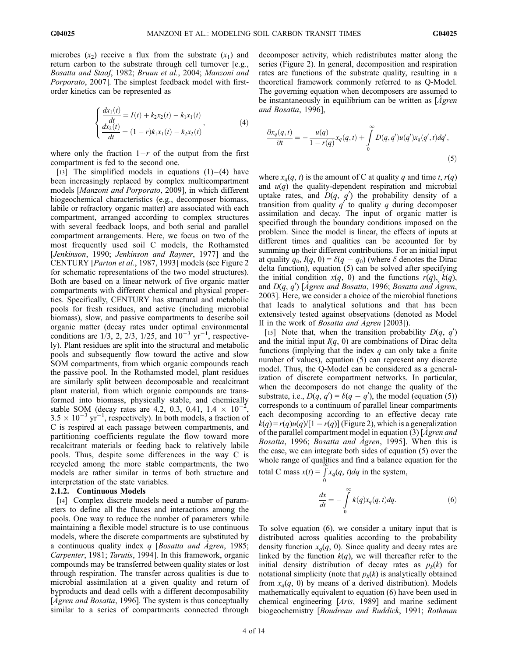microbes  $(x_2)$  receive a flux from the substrate  $(x_1)$  and return carbon to the substrate through cell turnover [e.g., Bosatta and Staaf, 1982; Bruun et al., 2004; Manzoni and Porporato, 2007]. The simplest feedback model with firstorder kinetics can be represented as

$$
\begin{cases}\n\frac{dx_1(t)}{dt} = I(t) + k_2 x_2(t) - k_1 x_1(t) \\
\frac{dx_2(t)}{dt} = (1 - r)k_1 x_1(t) - k_2 x_2(t)\n\end{cases}
$$
\n(4)

where only the fraction  $1-r$  of the output from the first compartment is fed to the second one.

[13] The simplified models in equations  $(1)$  – (4) have been increasingly replaced by complex multicompartment models [Manzoni and Porporato, 2009], in which different biogeochemical characteristics (e.g., decomposer biomass, labile or refractory organic matter) are associated with each compartment, arranged according to complex structures with several feedback loops, and both serial and parallel compartment arrangements. Here, we focus on two of the most frequently used soil C models, the Rothamsted [Jenkinson, 1990; Jenkinson and Rayner, 1977] and the CENTURY [Parton et al., 1987, 1993] models (see Figure 2 for schematic representations of the two model structures). Both are based on a linear network of five organic matter compartments with different chemical and physical properties. Specifically, CENTURY has structural and metabolic pools for fresh residues, and active (including microbial biomass), slow, and passive compartments to describe soil organic matter (decay rates under optimal environmental conditions are  $1/3$ , 2, 2/3, 1/25, and  $10^{-3}$  yr<sup>-1</sup>, respectively). Plant residues are split into the structural and metabolic pools and subsequently flow toward the active and slow SOM compartments, from which organic compounds reach the passive pool. In the Rothamsted model, plant residues are similarly split between decomposable and recalcitrant plant material, from which organic compounds are transformed into biomass, physically stable, and chemically stable SOM (decay rates are 4.2, 0.3, 0.41,  $1.4 \times 10^{-2}$ ,  $3.5 \times 10^{-3}$  yr<sup>-1</sup>, respectively). In both models, a fraction of C is respired at each passage between compartments, and partitioning coefficients regulate the flow toward more recalcitrant materials or feeding back to relatively labile pools. Thus, despite some differences in the way C is recycled among the more stable compartments, the two models are rather similar in terms of both structure and interpretation of the state variables.

## 2.1.2. Continuous Models

[14] Complex discrete models need a number of parameters to define all the fluxes and interactions among the pools. One way to reduce the number of parameters while maintaining a flexible model structure is to use continuous models, where the discrete compartments are substituted by a continuous quality index  $q$  [Bosatta and Agren, 1985; Carpenter, 1981; Tarutis, 1994]. In this framework, organic compounds may be transferred between quality states or lost through respiration. The transfer across qualities is due to microbial assimilation at a given quality and return of byproducts and dead cells with a different decomposability [ $\AA$ gren and Bosatta, 1996]. The system is thus conceptually similar to a series of compartments connected through

decomposer activity, which redistributes matter along the series (Figure 2). In general, decomposition and respiration rates are functions of the substrate quality, resulting in a theoretical framework commonly referred to as Q-Model. The governing equation when decomposers are assumed to be instantaneously in equilibrium can be written as  $\Delta g$  gren and Bosatta, 1996],

$$
\frac{\partial x_q(q,t)}{\partial t} = -\frac{u(q)}{1 - r(q)} x_q(q,t) + \int\limits_0^\infty D(q,q')u(q')x_q(q',t)dq',\tag{5}
$$

where  $x_q(q, t)$  is the amount of C at quality q and time t,  $r(q)$ and  $u(q)$  the quality-dependent respiration and microbial uptake rates, and  $D(q, q')$  the probability density of a transition from quality  $q'$  to quality q during decomposer assimilation and decay. The input of organic matter is specified through the boundary conditions imposed on the problem. Since the model is linear, the effects of inputs at different times and qualities can be accounted for by summing up their different contributions. For an initial input at quality  $q_0$ ,  $I(q, 0) = \delta(q - q_0)$  (where  $\delta$  denotes the Dirac delta function), equation (5) can be solved after specifying the initial condition  $x(q, 0)$  and the functions  $r(q)$ ,  $k(q)$ , and  $D(q, q')$  [Ågren and Bosatta, 1996; Bosatta and Ågren, 2003]. Here, we consider a choice of the microbial functions that leads to analytical solutions and that has been extensively tested against observations (denoted as Model II in the work of *Bosatta and Agren* [2003]).

[15] Note that, when the transition probability  $D(q, q')$ and the initial input  $I(q, 0)$  are combinations of Dirac delta functions (implying that the index  $q$  can only take a finite number of values), equation (5) can represent any discrete model. Thus, the Q-Model can be considered as a generalization of discrete compartment networks. In particular, when the decomposers do not change the quality of the substrate, i.e.,  $D(q, q') = \delta(q - q')$ , the model (equation (5)) corresponds to a continuum of parallel linear compartments each decomposing according to an effective decay rate  $k(q) = r(q)u(q)/[1 - r(q)]$  (Figure 2), which is a generalization of the parallel compartment model in equation (3) [Agren and Bosatta, 1996; Bosatta and Agren, 1995]. When this is the case, we can integrate both sides of equation (5) over the whole range of qualities and find a balance equation for the total C mass  $x(t) = \int$ 

$$
ext{otal C mass } x(t) = \int_{0}^{t} x_q(q, t) dq
$$
 in the system,

$$
\frac{dx}{dt} = -\int_{0}^{\infty} k(q)x_q(q, t)dq.
$$
 (6)

To solve equation (6), we consider a unitary input that is distributed across qualities according to the probability density function  $x_q(q, 0)$ . Since quality and decay rates are linked by the function  $k(q)$ , we will thereafter refer to the initial density distribution of decay rates as  $p_k(k)$  for notational simplicity (note that  $p_k(k)$  is analytically obtained from  $x_q(q, 0)$  by means of a derived distribution). Models mathematically equivalent to equation (6) have been used in chemical engineering [Aris, 1989] and marine sediment biogeochemistry [Boudreau and Ruddick, 1991; Rothman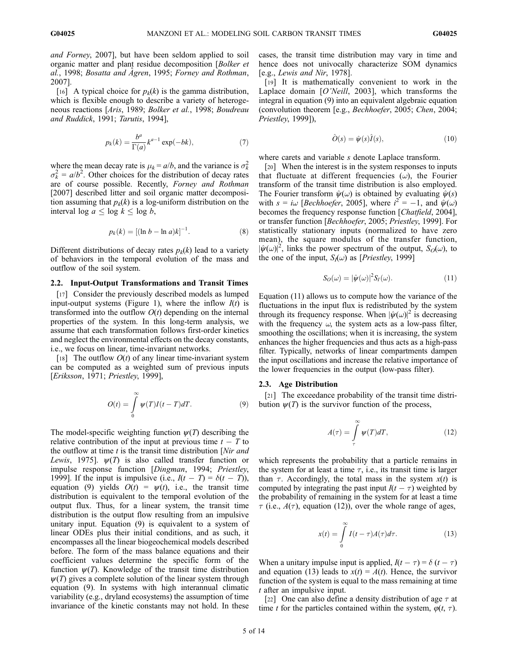and Forney, 2007], but have been seldom applied to soil organic matter and plant residue decomposition [Bolker et al., 1998; Bosatta and Ågren, 1995; Forney and Rothman, 2007].

[16] A typical choice for  $p_k(k)$  is the gamma distribution, which is flexible enough to describe a variety of heterogeneous reactions [Aris, 1989; Bolker et al., 1998; Boudreau and Ruddick, 1991; Tarutis, 1994],

$$
p_k(k) = \frac{b^a}{\Gamma(a)} k^{a-1} \exp(-bk),\tag{7}
$$

where the mean decay rate is  $\mu_k = a/b$ , and the variance is  $\sigma_k^2$  $\sigma_k^2 = a/b^2$ . Other choices for the distribution of decay rates are of course possible. Recently, Forney and Rothman [2007] described litter and soil organic matter decomposition assuming that  $p_k(k)$  is a log-uniform distribution on the interval log  $a \leq \log k \leq \log b$ ,

$$
p_k(k) = [(\ln b - \ln a)k]^{-1}.
$$
 (8)

Different distributions of decay rates  $p_k(k)$  lead to a variety of behaviors in the temporal evolution of the mass and outflow of the soil system.

### 2.2. Input-Output Transformations and Transit Times

[17] Consider the previously described models as lumped input-output systems (Figure 1), where the inflow  $I(t)$  is transformed into the outflow  $O(t)$  depending on the internal properties of the system. In this long-term analysis, we assume that each transformation follows first-order kinetics and neglect the environmental effects on the decay constants, i.e., we focus on linear, time-invariant networks.

[18] The outflow  $O(t)$  of any linear time-invariant system can be computed as a weighted sum of previous inputs [Eriksson, 1971; Priestley, 1999],

$$
O(t) = \int_{0}^{\infty} \psi(T)I(t - T)dT.
$$
 (9)

The model-specific weighting function  $\psi(T)$  describing the relative contribution of the input at previous time  $t - T$  to the outflow at time  $t$  is the transit time distribution [Nir and Lewis, 1975].  $\psi(T)$  is also called transfer function or impulse response function [Dingman, 1994; Priestley, 1999]. If the input is impulsive (i.e.,  $I(t - T) = \delta(t - T)$ ), equation (9) yields  $O(t) = \psi(t)$ , i.e., the transit time distribution is equivalent to the temporal evolution of the output flux. Thus, for a linear system, the transit time distribution is the output flow resulting from an impulsive unitary input. Equation (9) is equivalent to a system of linear ODEs plus their initial conditions, and as such, it encompasses all the linear biogeochemical models described before. The form of the mass balance equations and their coefficient values determine the specific form of the function  $\psi(T)$ . Knowledge of the transit time distribution  $\psi(T)$  gives a complete solution of the linear system through equation (9). In systems with high interannual climatic variability (e.g., dryland ecosystems) the assumption of time invariance of the kinetic constants may not hold. In these

cases, the transit time distribution may vary in time and hence does not univocally characterize SOM dynamics [e.g., Lewis and Nir, 1978].

[19] It is mathematically convenient to work in the Laplace domain [O'Neill, 2003], which transforms the integral in equation (9) into an equivalent algebraic equation (convolution theorem [e.g., Bechhoefer, 2005; Chen, 2004; Priestley, 1999]),

$$
\hat{O}(s) = \hat{\psi}(s)\hat{I}(s),\tag{10}
$$

where carets and variable s denote Laplace transform.

[20] When the interest is in the system responses to inputs that fluctuate at different frequencies  $(\omega)$ , the Fourier transform of the transit time distribution is also employed. The Fourier transform  $\hat{\psi}(\omega)$  is obtained by evaluating  $\hat{\psi}(s)$ with  $s = i\omega$  [Bechhoefer, 2005], where  $i^{2} = -1$ , and  $\psi(\omega)$ becomes the frequency response function [*Chatfield*, 2004], or transfer function [Bechhoefer, 2005; Priestley, 1999]. For statistically stationary inputs (normalized to have zero mean), the square modulus of the transfer function,  $|\hat{\psi}(\omega)|^2$ , links the power spectrum of the output,  $S_O(\omega)$ , to the one of the input,  $S_l(\omega)$  as [*Priestley*, 1999]

$$
S_O(\omega) = |\hat{\psi}(\omega)|^2 S_I(\omega). \tag{11}
$$

Equation (11) allows us to compute how the variance of the fluctuations in the input flux is redistributed by the system through its frequency response. When  $|\hat{\psi}(\omega)|^2$  is decreasing with the frequency  $\omega$ , the system acts as a low-pass filter, smoothing the oscillations; when it is increasing, the system enhances the higher frequencies and thus acts as a high-pass filter. Typically, networks of linear compartments dampen the input oscillations and increase the relative importance of the lower frequencies in the output (low-pass filter).

#### 2.3. Age Distribution

[21] The exceedance probability of the transit time distribution  $\psi(T)$  is the survivor function of the process,

$$
A(\tau) = \int_{\tau}^{\infty} \psi(T) dT,
$$
 (12)

which represents the probability that a particle remains in the system for at least a time  $\tau$ , i.e., its transit time is larger than  $\tau$ . Accordingly, the total mass in the system  $x(t)$  is computed by integrating the past input  $I(t - \tau)$  weighted by the probability of remaining in the system for at least a time  $\tau$  (i.e.,  $A(\tau)$ , equation (12)), over the whole range of ages,

$$
x(t) = \int_{0}^{\infty} I(t - \tau)A(\tau)d\tau.
$$
 (13)

When a unitary impulse input is applied,  $I(t - \tau) = \delta (t - \tau)$ and equation (13) leads to  $x(t) = A(t)$ . Hence, the survivor function of the system is equal to the mass remaining at time t after an impulsive input.

[22] One can also define a density distribution of age  $\tau$  at time t for the particles contained within the system,  $\varphi(t, \tau)$ .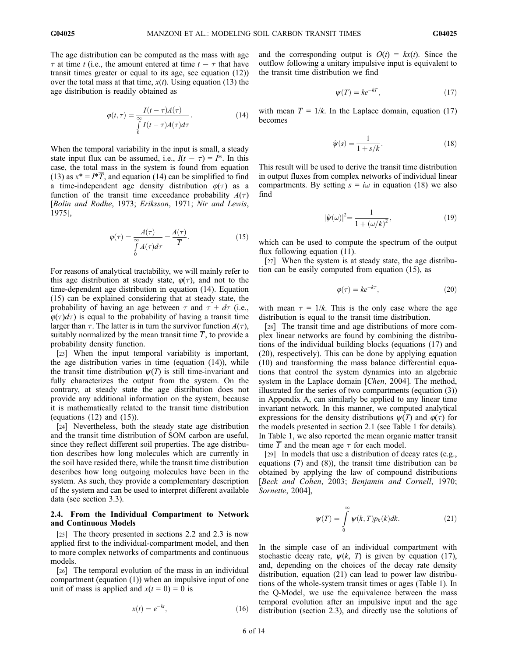The age distribution can be computed as the mass with age  $\tau$  at time t (i.e., the amount entered at time  $t - \tau$  that have transit times greater or equal to its age, see equation (12)) over the total mass at that time,  $x(t)$ . Using equation (13) the age distribution is readily obtained as

$$
\varphi(t,\tau) = \frac{I(t-\tau)A(\tau)}{\int_{0}^{\infty} I(t-\tau)A(\tau)d\tau}.
$$
\n(14)

When the temporal variability in the input is small, a steady state input flux can be assumed, i.e.,  $I(t - \tau) = I^*$ . In this case, the total mass in the system is found from equation (13) as  $x^* = I^* \overline{T}$ , and equation (14) can be simplified to find a time-independent age density distribution  $\varphi(\tau)$  as a function of the transit time exceedance probability  $A(\tau)$ [Bolin and Rodhe, 1973; Eriksson, 1971; Nir and Lewis, 1975],

$$
\varphi(\tau) = \frac{A(\tau)}{\int_{0}^{\infty} A(\tau) d\tau} = \frac{A(\tau)}{\overline{T}}.
$$
\n(15)

For reasons of analytical tractability, we will mainly refer to this age distribution at steady state,  $\varphi(\tau)$ , and not to the time-dependent age distribution in equation (14). Equation (15) can be explained considering that at steady state, the probability of having an age between  $\tau$  and  $\tau + d\tau$  (i.e.,  $\varphi(\tau)d\tau$ ) is equal to the probability of having a transit time larger than  $\tau$ . The latter is in turn the survivor function  $A(\tau)$ , suitably normalized by the mean transit time  $\overline{T}$ , to provide a probability density function.

[23] When the input temporal variability is important, the age distribution varies in time (equation (14)), while the transit time distribution  $\psi(T)$  is still time-invariant and fully characterizes the output from the system. On the contrary, at steady state the age distribution does not provide any additional information on the system, because it is mathematically related to the transit time distribution (equations  $(12)$  and  $(15)$ ).

[24] Nevertheless, both the steady state age distribution and the transit time distribution of SOM carbon are useful, since they reflect different soil properties. The age distribution describes how long molecules which are currently in the soil have resided there, while the transit time distribution describes how long outgoing molecules have been in the system. As such, they provide a complementary description of the system and can be used to interpret different available data (see section 3.3).

# 2.4. From the Individual Compartment to Network and Continuous Models

[25] The theory presented in sections 2.2 and 2.3 is now applied first to the individual-compartment model, and then to more complex networks of compartments and continuous models.

[26] The temporal evolution of the mass in an individual compartment (equation (1)) when an impulsive input of one unit of mass is applied and  $x(t = 0) = 0$  is

$$
x(t) = e^{-kt},\tag{16}
$$

and the corresponding output is  $O(t) = kx(t)$ . Since the outflow following a unitary impulsive input is equivalent to the transit time distribution we find

$$
\psi(T) = ke^{-kT},\tag{17}
$$

with mean  $\overline{T} = 1/k$ . In the Laplace domain, equation (17) becomes

$$
\hat{\psi}(s) = \frac{1}{1 + s/k}.\tag{18}
$$

This result will be used to derive the transit time distribution in output fluxes from complex networks of individual linear compartments. By setting  $s = i\omega$  in equation (18) we also find

$$
|\hat{\psi}(\omega)|^2 = \frac{1}{1 + (\omega/k)^2},\tag{19}
$$

which can be used to compute the spectrum of the output flux following equation (11).

[27] When the system is at steady state, the age distribution can be easily computed from equation (15), as

$$
\varphi(\tau) = k e^{-k\tau},\tag{20}
$$

with mean  $\overline{\tau} = 1/k$ . This is the only case where the age distribution is equal to the transit time distribution.

[28] The transit time and age distributions of more complex linear networks are found by combining the distributions of the individual building blocks (equations (17) and (20), respectively). This can be done by applying equation (10) and transforming the mass balance differential equations that control the system dynamics into an algebraic system in the Laplace domain [Chen, 2004]. The method, illustrated for the series of two compartments (equation (3)) in Appendix A, can similarly be applied to any linear time invariant network. In this manner, we computed analytical expressions for the density distributions  $\psi(T)$  and  $\varphi(\tau)$  for the models presented in section 2.1 (see Table 1 for details). In Table 1, we also reported the mean organic matter transit time  $\overline{T}$  and the mean age  $\overline{\tau}$  for each model.

[29] In models that use a distribution of decay rates (e.g., equations (7) and (8)), the transit time distribution can be obtained by applying the law of compound distributions [Beck and Cohen, 2003; Benjamin and Cornell, 1970; Sornette, 2004],

$$
\psi(T) = \int_{0}^{\infty} \psi(k, T) p_k(k) dk.
$$
 (21)

In the simple case of an individual compartment with stochastic decay rate,  $\psi(k, T)$  is given by equation (17), and, depending on the choices of the decay rate density distribution, equation (21) can lead to power law distributions of the whole-system transit times or ages (Table 1). In the Q-Model, we use the equivalence between the mass temporal evolution after an impulsive input and the age distribution (section 2.3), and directly use the solutions of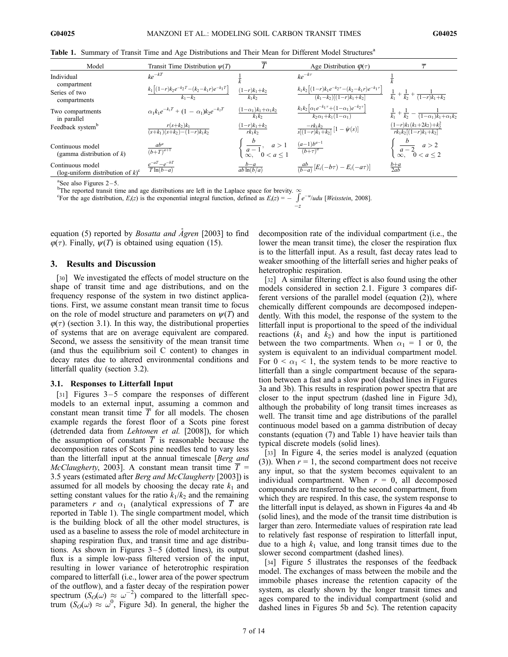| Model                                                               | Transit Time Distribution $\psi(T)$                        |                                                         | Age Distribution $\varphi(\tau)$                                                                |                                                                           |
|---------------------------------------------------------------------|------------------------------------------------------------|---------------------------------------------------------|-------------------------------------------------------------------------------------------------|---------------------------------------------------------------------------|
| Individual                                                          | $ke^{-kT}$                                                 |                                                         | $ke^{-k\tau}$                                                                                   |                                                                           |
| compartment<br>Series of two<br>compartments                        | $k_1 [(1-r)k_2e^{-k_2T}-(k_2-k_1r)e^{-k_1T}]$<br>$k_1-k_2$ | $(1-r)k_1+k_2$<br>$k_1k_2$                              | $k_1k_2\left[ (1-r)k_1e^{-k_2\tau}-(k_2-k_1r)e^{-k_1\tau} \right]$<br>$(k_1-k_2)[(1-r)k_1+k_2]$ | $\frac{1}{k_1} + \frac{1}{k_2} + \frac{1}{(1-r)k_1+k_2}$                  |
| Two compartments<br>in parallel                                     | $\alpha_1 k_1 e^{-k_1 T} + (1 - \alpha_1) k_2 e^{-k_2 T}$  | $(1-\alpha_1)k_1+\alpha_1k_2$<br>$k_1k_2$               | $k_1k_2[\alpha_1e^{-k_1\tau}+(1-\alpha_1)e^{-k_2\tau}]$<br>$k_2\alpha_1+k_1(1-\alpha_1)$        | $\frac{1}{k_1} + \frac{1}{k_2} - \frac{1}{(1-\alpha_1)k_1 + \alpha_1k_2}$ |
| Feedback system <sup>b</sup>                                        | $r(s+k_2)k_1$<br>$\frac{(s+k_1)(s+k_2)-(1-r)k_1k_2}{}$     | $(1-r)k_1+k_2$<br>$rk_1k_2$                             | $\frac{-rk_1k_2}{s[(1-r)k_1+k_2]}[1-\hat{\psi}(s)]$                                             | $(1-r)k_1(k_1+2k_2)+k_2^2$<br>$rk_1k_2[(1-r)k_1+k_2]$                     |
| Continuous model<br>(gamma distribution of $k$ )                    | $\frac{ab^a}{(b+T)^{a+1}}$                                 | $\frac{c}{a-1}, \quad a>1$ $\infty, \quad 0 < a \leq 1$ | $\frac{(a-1)b^{a-1}}{(b+\tau)^a}$                                                               | $\frac{a-2}{\infty, 0 < a \leq 2}$                                        |
| Continuous model<br>(log-uniform distribution of $k$ ) <sup>c</sup> | $e^{-aT} - e^{-bT}$<br>$T\ln(b-a)$                         | $b-a$<br>$ab\ln(b/a)$                                   | $\frac{ab}{(b-a)}\left[E_i(-b\tau)-E_i(-a\tau)\right]$                                          | $rac{b+a}{2ab}$                                                           |

z

Table 1. Summary of Transit Time and Age Distributions and Their Mean for Different Model Structures<sup>a</sup>

 $a^2$ See also Figures 2-5.

<sup>b</sup>The reported transit time and age distributions are left in the Laplace space for brevity.  $\infty$ 

<sup>c</sup>For the age distribution,  $E_i(z)$  is the exponential integral function, defined as  $E_i(z) = -\int e^{-u}/udu$  [*Weisstein*, 2008].

equation (5) reported by *Bosatta and Agren* [2003] to find  $\varphi(\tau)$ . Finally,  $\psi(T)$  is obtained using equation (15).

## 3. Results and Discussion

[30] We investigated the effects of model structure on the shape of transit time and age distributions, and on the frequency response of the system in two distinct applications. First, we assume constant mean transit time to focus on the role of model structure and parameters on  $\psi(T)$  and  $\varphi(\tau)$  (section 3.1). In this way, the distributional properties of systems that are on average equivalent are compared. Second, we assess the sensitivity of the mean transit time (and thus the equilibrium soil C content) to changes in decay rates due to altered environmental conditions and litterfall quality (section 3.2).

#### 3.1. Responses to Litterfall Input

[31] Figures  $3-5$  compare the responses of different models to an external input, assuming a common and constant mean transit time  $\overline{T}$  for all models. The chosen example regards the forest floor of a Scots pine forest (detrended data from Lehtonen et al. [2008]), for which the assumption of constant  $\overline{T}$  is reasonable because the decomposition rates of Scots pine needles tend to vary less than the litterfall input at the annual timescale [Berg and McClaugherty, 2003]. A constant mean transit time  $T =$ 3.5 years (estimated after Berg and McClaugherty [2003]) is assumed for all models by choosing the decay rate  $k_1$  and setting constant values for the ratio  $k_1/k_2$  and the remaining parameters r and  $\alpha_1$  (analytical expressions of  $\overline{T}$  are reported in Table 1). The single compartment model, which is the building block of all the other model structures, is used as a baseline to assess the role of model architecture in shaping respiration flux, and transit time and age distributions. As shown in Figures  $3-5$  (dotted lines), its output flux is a simple low-pass filtered version of the input, resulting in lower variance of heterotrophic respiration compared to litterfall (i.e., lower area of the power spectrum of the outflow), and a faster decay of the respiration power spectrum  $(S_O(\omega) \approx \omega^{-2})$  compared to the litterfall spectrum  $(S_O(\omega) \approx \omega^0$ , Figure 3d). In general, the higher the

decomposition rate of the individual compartment (i.e., the lower the mean transit time), the closer the respiration flux is to the litterfall input. As a result, fast decay rates lead to weaker smoothing of the litterfall series and higher peaks of heterotrophic respiration.

[32] A similar filtering effect is also found using the other models considered in section 2.1. Figure 3 compares different versions of the parallel model (equation (2)), where chemically different compounds are decomposed independently. With this model, the response of the system to the litterfall input is proportional to the speed of the individual reactions  $(k_1$  and  $k_2$ ) and how the input is partitioned between the two compartments. When  $\alpha_1 = 1$  or 0, the system is equivalent to an individual compartment model. For  $0 \leq \alpha_1 \leq 1$ , the system tends to be more reactive to litterfall than a single compartment because of the separation between a fast and a slow pool (dashed lines in Figures 3a and 3b). This results in respiration power spectra that are closer to the input spectrum (dashed line in Figure 3d), although the probability of long transit times increases as well. The transit time and age distributions of the parallel continuous model based on a gamma distribution of decay constants (equation (7) and Table 1) have heavier tails than typical discrete models (solid lines).

[33] In Figure 4, the series model is analyzed (equation (3)). When  $r = 1$ , the second compartment does not receive any input, so that the system becomes equivalent to an individual compartment. When  $r = 0$ , all decomposed compounds are transferred to the second compartment, from which they are respired. In this case, the system response to the litterfall input is delayed, as shown in Figures 4a and 4b (solid lines), and the mode of the transit time distribution is larger than zero. Intermediate values of respiration rate lead to relatively fast response of respiration to litterfall input, due to a high  $k_1$  value, and long transit times due to the slower second compartment (dashed lines).

[34] Figure 5 illustrates the responses of the feedback model. The exchanges of mass between the mobile and the immobile phases increase the retention capacity of the system, as clearly shown by the longer transit times and ages compared to the individual compartment (solid and dashed lines in Figures 5b and 5c). The retention capacity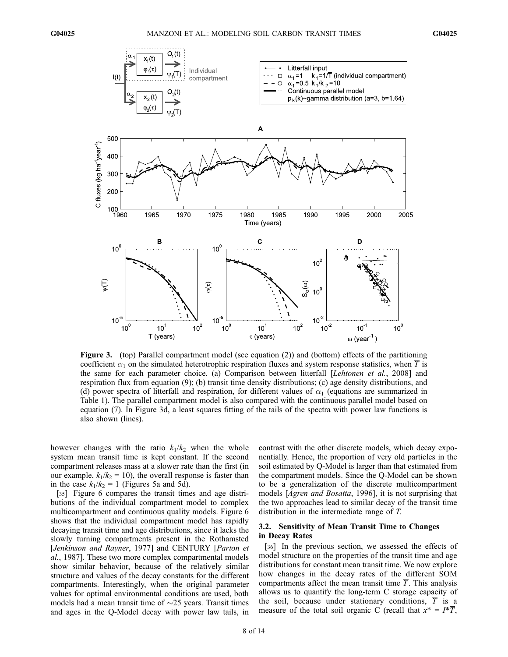

Figure 3. (top) Parallel compartment model (see equation (2)) and (bottom) effects of the partitioning coefficient  $\alpha_1$  on the simulated heterotrophic respiration fluxes and system response statistics, when  $\overline{T}$  is the same for each parameter choice. (a) Comparison between litterfall [Lehtonen et al., 2008] and respiration flux from equation (9); (b) transit time density distributions; (c) age density distributions, and (d) power spectra of litterfall and respiration, for different values of  $\alpha_1$  (equations are summarized in Table 1). The parallel compartment model is also compared with the continuous parallel model based on equation (7). In Figure 3d, a least squares fitting of the tails of the spectra with power law functions is also shown (lines).

however changes with the ratio  $k_1/k_2$  when the whole system mean transit time is kept constant. If the second compartment releases mass at a slower rate than the first (in our example,  $k_1/k_2 = 10$ ), the overall response is faster than in the case  $k_1/k_2 = 1$  (Figures 5a and 5d).

[35] Figure 6 compares the transit times and age distributions of the individual compartment model to complex multicompartment and continuous quality models. Figure 6 shows that the individual compartment model has rapidly decaying transit time and age distributions, since it lacks the slowly turning compartments present in the Rothamsted [Jenkinson and Rayner, 1977] and CENTURY [Parton et al., 1987]. These two more complex compartmental models show similar behavior, because of the relatively similar structure and values of the decay constants for the different compartments. Interestingly, when the original parameter values for optimal environmental conditions are used, both models had a mean transit time of  $\sim$ 25 years. Transit times and ages in the Q-Model decay with power law tails, in

contrast with the other discrete models, which decay exponentially. Hence, the proportion of very old particles in the soil estimated by Q-Model is larger than that estimated from the compartment models. Since the Q-Model can be shown to be a generalization of the discrete multicompartment models [*Ågren and Bosatta*, 1996], it is not surprising that the two approaches lead to similar decay of the transit time distribution in the intermediate range of T.

# 3.2. Sensitivity of Mean Transit Time to Changes in Decay Rates

[36] In the previous section, we assessed the effects of model structure on the properties of the transit time and age distributions for constant mean transit time. We now explore how changes in the decay rates of the different SOM compartments affect the mean transit time  $\overline{T}$ . This analysis allows us to quantify the long-term C storage capacity of the soil, because under stationary conditions,  $\overline{T}$  is a measure of the total soil organic C (recall that  $x^* = I^* \overline{T}$ ,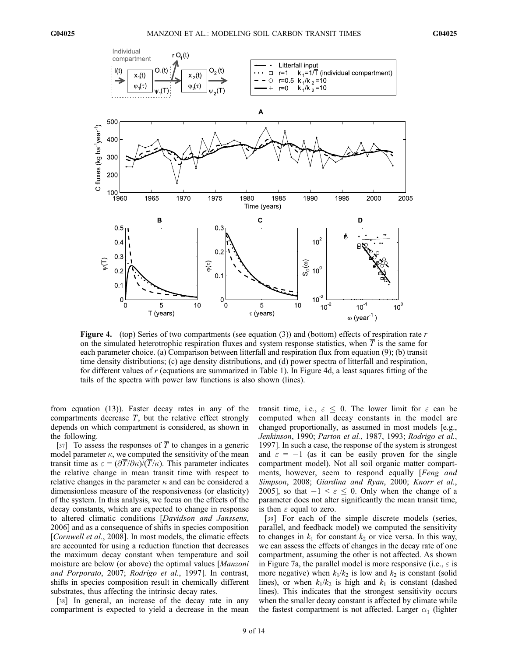

**Figure 4.** (top) Series of two compartments (see equation (3)) and (bottom) effects of respiration rate r on the simulated heterotrophic respiration fluxes and system response statistics, when  $T$  is the same for each parameter choice. (a) Comparison between litterfall and respiration flux from equation (9); (b) transit time density distributions; (c) age density distributions, and (d) power spectra of litterfall and respiration, for different values of  $r$  (equations are summarized in Table 1). In Figure 4d, a least squares fitting of the tails of the spectra with power law functions is also shown (lines).

from equation (13)). Faster decay rates in any of the compartments decrease  $T$ , but the relative effect strongly depends on which compartment is considered, as shown in the following.

[37] To assess the responses of  $\overline{T}$  to changes in a generic model parameter  $\kappa$ , we computed the sensitivity of the mean transit time as  $\varepsilon = (\partial \overline{T}/\partial \kappa)/(\overline{T}/\kappa)$ . This parameter indicates the relative change in mean transit time with respect to relative changes in the parameter  $\kappa$  and can be considered a dimensionless measure of the responsiveness (or elasticity) of the system. In this analysis, we focus on the effects of the decay constants, which are expected to change in response to altered climatic conditions [Davidson and Janssens, 2006] and as a consequence of shifts in species composition [Cornwell et al., 2008]. In most models, the climatic effects are accounted for using a reduction function that decreases the maximum decay constant when temperature and soil moisture are below (or above) the optimal values [Manzoni and Porporato, 2007; Rodrigo et al., 1997]. In contrast, shifts in species composition result in chemically different substrates, thus affecting the intrinsic decay rates.

[38] In general, an increase of the decay rate in any compartment is expected to yield a decrease in the mean

transit time, i.e.,  $\varepsilon \leq 0$ . The lower limit for  $\varepsilon$  can be computed when all decay constants in the model are changed proportionally, as assumed in most models [e.g., Jenkinson, 1990; Parton et al., 1987, 1993; Rodrigo et al., 1997]. In such a case, the response of the system is strongest and  $\varepsilon = -1$  (as it can be easily proven for the single compartment model). Not all soil organic matter compartments, however, seem to respond equally [Feng and Simpson, 2008; Giardina and Ryan, 2000; Knorr et al., 2005], so that  $-1 < \varepsilon \leq 0$ . Only when the change of a parameter does not alter significantly the mean transit time, is then  $\varepsilon$  equal to zero.

[39] For each of the simple discrete models (series, parallel, and feedback model) we computed the sensitivity to changes in  $k_1$  for constant  $k_2$  or vice versa. In this way, we can assess the effects of changes in the decay rate of one compartment, assuming the other is not affected. As shown in Figure 7a, the parallel model is more responsive (i.e.,  $\varepsilon$  is more negative) when  $k_1/k_2$  is low and  $k_2$  is constant (solid lines), or when  $k_1/k_2$  is high and  $k_1$  is constant (dashed lines). This indicates that the strongest sensitivity occurs when the smaller decay constant is affected by climate while the fastest compartment is not affected. Larger  $\alpha_1$  (lighter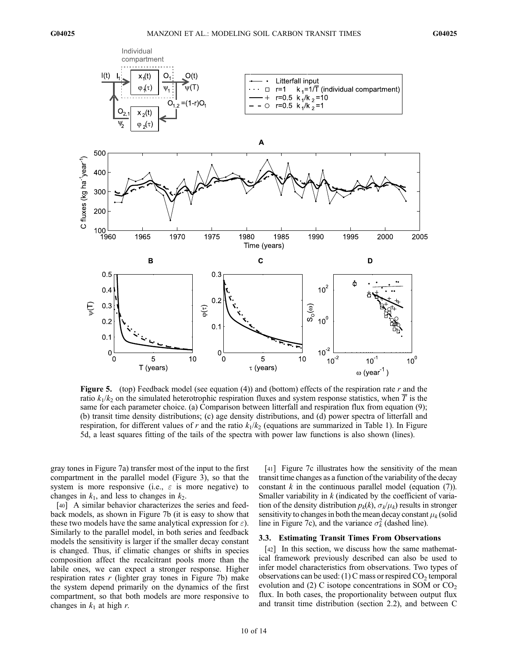

**Figure 5.** (top) Feedback model (see equation (4)) and (bottom) effects of the respiration rate r and the ratio  $k_1/k_2$  on the simulated heterotrophic respiration fluxes and system response statistics, when T is the same for each parameter choice. (a) Comparison between litterfall and respiration flux from equation (9); (b) transit time density distributions; (c) age density distributions, and (d) power spectra of litterfall and respiration, for different values of r and the ratio  $k_1/k_2$  (equations are summarized in Table 1). In Figure 5d, a least squares fitting of the tails of the spectra with power law functions is also shown (lines).

gray tones in Figure 7a) transfer most of the input to the first compartment in the parallel model (Figure 3), so that the system is more responsive (i.e.,  $\varepsilon$  is more negative) to changes in  $k_1$ , and less to changes in  $k_2$ .

[40] A similar behavior characterizes the series and feedback models, as shown in Figure 7b (it is easy to show that these two models have the same analytical expression for  $\varepsilon$ ). Similarly to the parallel model, in both series and feedback models the sensitivity is larger if the smaller decay constant is changed. Thus, if climatic changes or shifts in species composition affect the recalcitrant pools more than the labile ones, we can expect a stronger response. Higher respiration rates  $r$  (lighter gray tones in Figure 7b) make the system depend primarily on the dynamics of the first compartment, so that both models are more responsive to changes in  $k_1$  at high r.

[41] Figure 7c illustrates how the sensitivity of the mean transit time changes as a function of the variability of the decay constant  $k$  in the continuous parallel model (equation  $(7)$ ). Smaller variability in  $k$  (indicated by the coefficient of variation of the density distribution  $p_k(k)$ ,  $\sigma_k/\mu_k$ ) results in stronger sensitivity to changes in both the mean decay constant  $\mu_k$  (solid line in Figure 7c), and the variance  $\sigma_k^2$  (dashed line).

### 3.3. Estimating Transit Times From Observations

[42] In this section, we discuss how the same mathematical framework previously described can also be used to infer model characteristics from observations. Two types of observations can be used: (1) C mass or respired  $CO<sub>2</sub>$  temporal evolution and (2) C isotope concentrations in SOM or  $CO<sub>2</sub>$ flux. In both cases, the proportionality between output flux and transit time distribution (section 2.2), and between C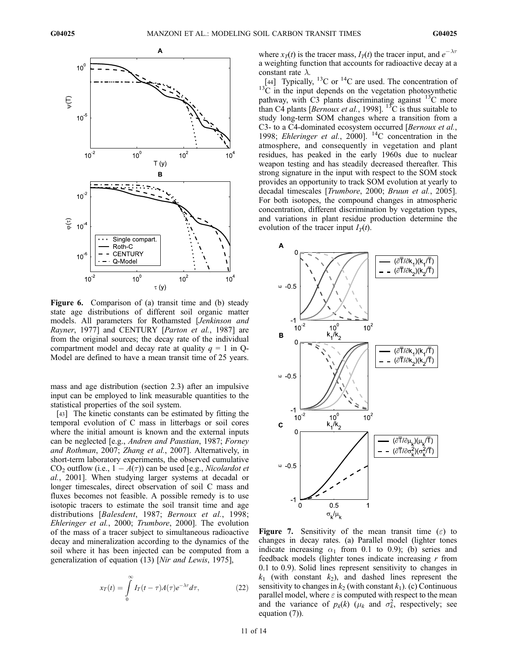

Figure 6. Comparison of (a) transit time and (b) steady state age distributions of different soil organic matter models. All parameters for Rothamsted [Jenkinson and Rayner, 1977] and CENTURY [*Parton et al.*, 1987] are from the original sources; the decay rate of the individual compartment model and decay rate at quality  $q = 1$  in Q-Model are defined to have a mean transit time of 25 years.

mass and age distribution (section 2.3) after an impulsive input can be employed to link measurable quantities to the statistical properties of the soil system.

[43] The kinetic constants can be estimated by fitting the temporal evolution of C mass in litterbags or soil cores where the initial amount is known and the external inputs can be neglected [e.g., Andren and Paustian, 1987; Forney and Rothman, 2007; Zhang et al., 2007]. Alternatively, in short-term laboratory experiments, the observed cumulative  $CO_2$  outflow (i.e.,  $1 - A(\tau)$ ) can be used [e.g., *Nicolardot et* al., 2001]. When studying larger systems at decadal or longer timescales, direct observation of soil C mass and fluxes becomes not feasible. A possible remedy is to use isotopic tracers to estimate the soil transit time and age distributions [Balesdent, 1987; Bernoux et al., 1998; Ehleringer et al., 2000; Trumbore, 2000]. The evolution of the mass of a tracer subject to simultaneous radioactive decay and mineralization according to the dynamics of the soil where it has been injected can be computed from a generalization of equation (13) [Nir and Lewis, 1975],

$$
x_T(t) = \int\limits_0^\infty I_T(t-\tau)A(\tau)e^{-\lambda \tau}d\tau,
$$
\n(22)

where  $x_T(t)$  is the tracer mass,  $I_T(t)$  the tracer input, and  $e^{-\lambda \tau}$ a weighting function that accounts for radioactive decay at a constant rate  $\lambda$ .

[44] Typically,  $^{13}$ C or  $^{14}$ C are used. The concentration of  $13\text{°C}$  in the input depends on the vegetation photosynthetic pathway, with C3 plants discriminating against  $^{13}$ C more than C4 plants [*Bernoux et al.*, 1998]. <sup>13</sup>C is thus suitable to study long-term SOM changes where a transition from a C3- to a C4-dominated ecosystem occurred [Bernoux et al., 1998; Ehleringer et al., 2000].  $^{14}$ C concentration in the atmosphere, and consequently in vegetation and plant residues, has peaked in the early 1960s due to nuclear weapon testing and has steadily decreased thereafter. This strong signature in the input with respect to the SOM stock provides an opportunity to track SOM evolution at yearly to decadal timescales [Trumbore, 2000; Bruun et al., 2005]. For both isotopes, the compound changes in atmospheric concentration, different discrimination by vegetation types, and variations in plant residue production determine the evolution of the tracer input  $I_T(t)$ .



**Figure 7.** Sensitivity of the mean transit time  $(\varepsilon)$  to changes in decay rates. (a) Parallel model (lighter tones indicate increasing  $\alpha_1$  from 0.1 to 0.9); (b) series and feedback models (lighter tones indicate increasing  $r$  from 0.1 to 0.9). Solid lines represent sensitivity to changes in  $k_1$  (with constant  $k_2$ ), and dashed lines represent the sensitivity to changes in  $k_2$  (with constant  $k_1$ ). (c) Continuous parallel model, where  $\varepsilon$  is computed with respect to the mean and the variance of  $p_k(k)$  ( $\mu_k$  and  $\sigma_k^2$ , respectively; see equation (7)).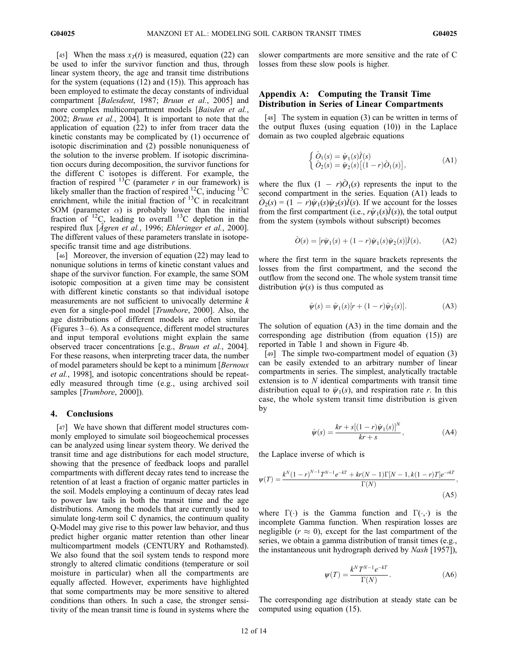[45] When the mass  $x_T(t)$  is measured, equation (22) can be used to infer the survivor function and thus, through linear system theory, the age and transit time distributions for the system (equations (12) and (15)). This approach has been employed to estimate the decay constants of individual compartment [Balesdent, 1987; Bruun et al., 2005] and more complex multicompartment models [Baisden et al., 2002; Bruun et al., 2004]. It is important to note that the application of equation (22) to infer from tracer data the kinetic constants may be complicated by (1) occurrence of isotopic discrimination and (2) possible nonuniqueness of the solution to the inverse problem. If isotopic discrimination occurs during decomposition, the survivor functions for the different C isotopes is different. For example, the fraction of respired  ${}^{13}C$  (parameter r in our framework) is likely smaller than the fraction of respired  $^{12}$ C, inducing  $^{13}$ C enrichment, while the initial fraction of <sup>13</sup>C in recalcitrant SOM (parameter  $\alpha$ ) is probably lower than the initial fraction of  $^{12}C$ , leading to overall  $^{13}C$  depletion in the respired flux [ $\AA$ gren et al., 1996; Ehleringer et al., 2000]. The different values of these parameters translate in isotopespecific transit time and age distributions.

[46] Moreover, the inversion of equation (22) may lead to nonunique solutions in terms of kinetic constant values and shape of the survivor function. For example, the same SOM isotopic composition at a given time may be consistent with different kinetic constants so that individual isotope measurements are not sufficient to univocally determine  $k$ even for a single-pool model [Trumbore, 2000]. Also, the age distributions of different models are often similar (Figures  $3-6$ ). As a consequence, different model structures and input temporal evolutions might explain the same observed tracer concentrations [e.g., Bruun et al., 2004]. For these reasons, when interpreting tracer data, the number of model parameters should be kept to a minimum [Bernoux] et al., 1998], and isotopic concentrations should be repeatedly measured through time (e.g., using archived soil samples [Trumbore, 2000]).

#### 4. Conclusions

[47] We have shown that different model structures commonly employed to simulate soil biogeochemical processes can be analyzed using linear system theory. We derived the transit time and age distributions for each model structure, showing that the presence of feedback loops and parallel compartments with different decay rates tend to increase the retention of at least a fraction of organic matter particles in the soil. Models employing a continuum of decay rates lead to power law tails in both the transit time and the age distributions. Among the models that are currently used to simulate long-term soil C dynamics, the continuum quality Q-Model may give rise to this power law behavior, and thus predict higher organic matter retention than other linear multicompartment models (CENTURY and Rothamsted). We also found that the soil system tends to respond more strongly to altered climatic conditions (temperature or soil moisture in particular) when all the compartments are equally affected. However, experiments have highlighted that some compartments may be more sensitive to altered conditions than others. In such a case, the stronger sensitivity of the mean transit time is found in systems where the

slower compartments are more sensitive and the rate of C losses from these slow pools is higher.

# Appendix A: Computing the Transit Time Distribution in Series of Linear Compartments

[48] The system in equation (3) can be written in terms of the output fluxes (using equation (10)) in the Laplace domain as two coupled algebraic equations

$$
\begin{cases} \hat{O}_1(s) = \hat{\psi}_1(s)\hat{I}(s) \\ \hat{O}_2(s) = \hat{\psi}_2(s) \big[ (1 - r)\hat{O}_1(s) \big], \end{cases}
$$
 (A1)

where the flux  $(1 - r)\hat{O}_1(s)$  represents the input to the second compartment in the series. Equation (A1) leads to  $\hat{O}_2(s) = (1 - r)\hat{\psi}_1(s)\hat{\psi}_2(s)\hat{I}(s)$ . If we account for the losses from the first compartment (i.e.,  $r\hat{\psi}_1(s)I(s)$ ), the total output from the system (symbols without subscript) becomes

$$
\hat{O}(s) = [r\hat{\psi}_1(s) + (1-r)\hat{\psi}_1(s)\hat{\psi}_2(s)]\hat{I}(s), \quad (A2)
$$

where the first term in the square brackets represents the losses from the first compartment, and the second the outflow from the second one. The whole system transit time distribution  $\hat{\psi}(s)$  is thus computed as

$$
\hat{\psi}(s) = \hat{\psi}_1(s)[r + (1 - r)\hat{\psi}_2(s)].
$$
\n(A3)

The solution of equation (A3) in the time domain and the corresponding age distribution (from equation (15)) are reported in Table 1 and shown in Figure 4b.

[49] The simple two-compartment model of equation (3) can be easily extended to an arbitrary number of linear compartments in series. The simplest, analytically tractable extension is to N identical compartments with transit time distribution equal to  $\hat{\psi}_1(s)$ , and respiration rate r. In this case, the whole system transit time distribution is given by

$$
\hat{\psi}(s) = \frac{kr + s[(1 - r)\hat{\psi}_1(s)]^N}{kr + s},
$$
\n(A4)

the Laplace inverse of which is

$$
\psi(T) = \frac{k^N (1 - r)^{N-1} T^{N-1} e^{-kT} + kr(N-1) \Gamma[N-1, k(1-r)T] e^{-rkT}}{\Gamma(N)},
$$
\n(A5)

where  $\Gamma(\cdot)$  is the Gamma function and  $\Gamma(\cdot,\cdot)$  is the incomplete Gamma function. When respiration losses are negligible ( $r \approx 0$ ), except for the last compartment of the series, we obtain a gamma distribution of transit times (e.g., the instantaneous unit hydrograph derived by Nash [1957]),

$$
\psi(T) = \frac{k^N T^{N-1} e^{-kT}}{\Gamma(N)}.
$$
\n(A6)

The corresponding age distribution at steady state can be computed using equation (15).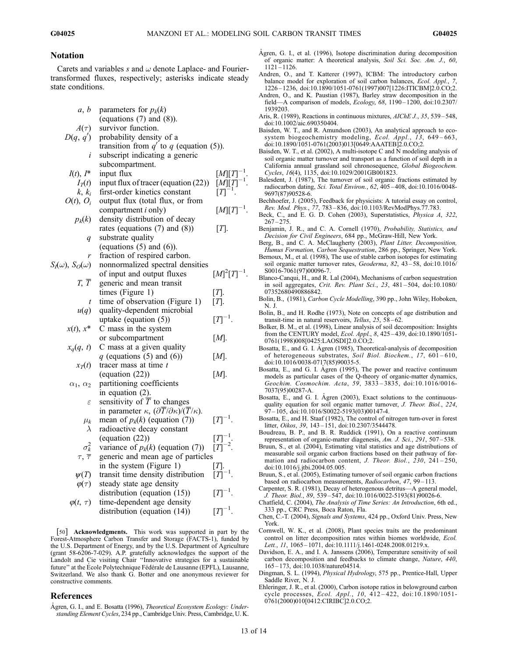## Notation

Carets and variables s and  $\omega$  denote Laplace- and Fouriertransformed fluxes, respectively; asterisks indicate steady state conditions.

| a, b                          | parameters for $p_k(k)$                                                                   |                                                                                  |  |
|-------------------------------|-------------------------------------------------------------------------------------------|----------------------------------------------------------------------------------|--|
|                               | (equations $(7)$ and $(8)$ ).                                                             |                                                                                  |  |
| $A(\tau)$                     | survivor function.                                                                        |                                                                                  |  |
| D(q, q')                      | probability density of a                                                                  |                                                                                  |  |
|                               | transition from $q'$ to q (equation (5)).                                                 |                                                                                  |  |
| i                             | subscript indicating a generic                                                            |                                                                                  |  |
|                               | subcompartment.                                                                           |                                                                                  |  |
| $I(t), I^*$                   | input flux                                                                                | $[M][T]^{-1}$ .                                                                  |  |
| $I_T(t)$                      | input flux of tracer (equation (22))                                                      | $\frac{[M][T]^{-1}}{[T]^{-1}}$                                                   |  |
| $k, k_i$                      | first-order kinetics constant                                                             |                                                                                  |  |
| $O(t)$ , $O_i$                | output flux (total flux, or from                                                          |                                                                                  |  |
|                               | compartment <i>i</i> only)                                                                | $[M][T]^{-1}.$                                                                   |  |
| $p_k(k)$                      | density distribution of decay                                                             |                                                                                  |  |
|                               | rates (equations $(7)$ and $(8)$ )                                                        | $[T]$ .                                                                          |  |
| q                             | substrate quality                                                                         |                                                                                  |  |
|                               | (equations $(5)$ and $(6)$ ).                                                             |                                                                                  |  |
|                               | fraction of respired carbon.                                                              |                                                                                  |  |
| $S_I(\omega)$ , $S_O(\omega)$ | nonnormalized spectral densities                                                          |                                                                                  |  |
|                               | of input and output fluxes                                                                | $[M]^2[T]^{-1}$ .                                                                |  |
| $T, \overline{T}$             | generic and mean transit                                                                  |                                                                                  |  |
|                               | times (Figure 1)                                                                          | [T].                                                                             |  |
| t                             | time of observation (Figure 1)                                                            | $[T]$ .                                                                          |  |
| u(q)                          | quality-dependent microbial                                                               |                                                                                  |  |
|                               | uptake (equation $(5)$ )                                                                  | $[T]^{-1}$ .                                                                     |  |
| $x(t)$ , $x^*$                | C mass in the system                                                                      |                                                                                  |  |
|                               | or subcompartment                                                                         | [M].                                                                             |  |
| $x_q(q, t)$                   | C mass at a given quality                                                                 |                                                                                  |  |
|                               | $q$ (equations (5) and (6))                                                               | $[M]$ .                                                                          |  |
| $x_T(t)$                      | tracer mass at time $t$                                                                   |                                                                                  |  |
|                               | (equation (22))                                                                           | [M].                                                                             |  |
| $\alpha_1, \alpha_2$          | partitioning coefficients                                                                 |                                                                                  |  |
|                               | in equation $(2)$ .                                                                       |                                                                                  |  |
| ε                             | sensitivity of $\overline{T}$ to changes                                                  |                                                                                  |  |
|                               | in parameter $\kappa$ , $(\partial \overline{T}/\partial \kappa)/(\overline{T}/\kappa)$ . |                                                                                  |  |
| $\mu_k$                       | mean of $p_k(k)$ (equation (7))                                                           | $[T]^{-1}$ .                                                                     |  |
| $\lambda$                     | radioactive decay constant                                                                |                                                                                  |  |
|                               | $\left($ equation $\left( 22\right)$ )                                                    | $\begin{bmatrix} T \end{bmatrix}^{-1}$<br>$\begin{bmatrix} T \end{bmatrix}^{-2}$ |  |
| $\sigma_k^2$                  | variance of $p_k(k)$ (equation (7))                                                       |                                                                                  |  |
| $\tau, \bar{\tau}$            | generic and mean age of particles                                                         |                                                                                  |  |
|                               | in the system (Figure 1)                                                                  | $[T]$ .                                                                          |  |
| $\psi(T)$                     | transit time density distribution                                                         | $[T]^{-1}$ .                                                                     |  |
| $\varphi(\tau)$               | steady state age density                                                                  |                                                                                  |  |
|                               | distribution (equation $(15)$ )                                                           | $[T]^{-1}$ .                                                                     |  |
| $\varphi(t,\tau)$             | time-dependent age density                                                                |                                                                                  |  |
|                               | distribution (equation (14))                                                              | $[T]^{-1}.$                                                                      |  |
|                               |                                                                                           |                                                                                  |  |

[50] Acknowledgments. This work was supported in part by the Forest-Atmosphere Carbon Transfer and Storage (FACTS-1), funded by the U.S. Department of Energy, and by the U.S. Department of Agriculture (grant 58-6206-7-029). A.P. gratefully acknowledges the support of the Landolt and Cie visiting Chair ''Innovative strategies for a sustainable future" at the École Polytechnique Fédérale de Lausanne (EPFL), Lausanne, Switzerland. We also thank G. Botter and one anonymous reviewer for constructive comments.

#### References

Ågren, G. I., and E. Bosatta (1996), Theoretical Ecosystem Ecology: Understanding Element Cycles, 234 pp., Cambridge Univ. Press, Cambridge, U. K.

- Ågren, G. I., et al.  $(1996)$ , Isotope discrimination during decomposition of organic matter: A theoretical analysis, Soil Sci. Soc. Am. J., 60, 1121 – 1126.
- Andren, O., and T. Katterer (1997), ICBM: The introductory carbon balance model for exploration of soil carbon balances, Ecol. Appl., 7, 1226 – 1236, doi:10.1890/1051-0761(1997)007[1226:ITICBM]2.0.CO;2.
- Andren, O., and K. Paustian (1987), Barley straw decomposition in the field—A comparison of models, Ecology, 68, 1190 – 1200, doi:10.2307/ 1939203.
- Aris, R. (1989), Reactions in continuous mixtures, AIChE J., 35, 539-548, doi:10.1002/aic.690350404.
- Baisden, W. T., and R. Amundson (2003), An analytical approach to ecosystem biogeochemistry modeling, Ecol. Appl., 13, 649-663, doi:10.1890/1051-0761(2003)013[0649:AAATEB]2.0.CO;2.
- Baisden, W. T., et al. (2002), A multi-isotope C and N modeling analysis of soil organic matter turnover and transport as a function of soil depth in a California annual grassland soil chronosequence, Global Biogeochem. Cycles, 16(4), 1135, doi:10.1029/2001GB001823.
- Balesdent, J. (1987), The turnover of soil organic fractions estimated by radiocarbon dating, Sci. Total Environ., 62, 405 – 408, doi:10.1016/0048- 9697(87)90528-6.
- Bechhoefer, J. (2005), Feedback for physicists: A tutorial essay on control, Rev. Mod. Phys., 77, 783 – 836, doi:10.1103/RevModPhys.77.783.
- Beck, C., and E. G. D. Cohen (2003), Superstatistics, Physica A, 322,  $267 - 275$
- Benjamin, J. R., and C. A. Cornell (1970), Probability, Statistics, and Decision for Civil Engineers, 684 pp., McGraw-Hill, New York.
- Berg, B., and C. A. McClaugherty (2003), Plant Litter. Decomposition, Humus Formation, Carbon Sequestration, 286 pp., Springer, New York.
- Bernoux, M., et al. (1998), The use of stable carbon isotopes for estimating soil organic matter turnover rates, Geoderma, 82, 43-58, doi:10.1016/ S0016-7061(97)00096-7.
- Blanco-Canqui, H., and R. Lal (2004), Mechanisms of carbon sequestration in soil aggregates, Crit. Rev. Plant Sci., 23, 481 – 504, doi:10.1080/ 07352680490886842.
- Bolin, B., (1981), Carbon Cycle Modelling, 390 pp., John Wiley, Hoboken, N. J.
- Bolin, B., and H. Rodhe (1973), Note on concepts of age distribution and transit-time in natural reservoirs, Tellus, 25, 58-62.
- Bolker, B. M., et al. (1998), Linear analysis of soil decomposition: Insights from the CENTURY model, Ecol. Appl., 8, 425 – 439, doi:10.1890/1051- 0761(1998)008[0425:LAOSDI]2.0.CO;2.
- Bosatta, E., and  $\tilde{G}$ . I. Agren (1985), Theoretical-analysis of decomposition of heterogeneous substrates, Soil Biol. Biochem., 17, 601 – 610, doi:10.1016/0038-0717(85)90035-5.
- Bosatta, E., and G. I. Ågren (1995), The power and reactive continuum models as particular cases of the Q-theory of organic-matter dynamics, Geochim. Cosmochim. Acta, 59, 3833 – 3835, doi:10.1016/0016- 7037(95)00287-A.
- Bosatta, E., and G. I. Ågren (2003), Exact solutions to the continuousquality equation for soil organic matter turnover, J. Theor. Biol., 224, 97 – 105, doi:10.1016/S0022-5193(03)00147-4.
- Bosatta, E., and H. Staaf (1982), The control of nitrogen turn-over in forest litter, Oikos, 39, 143 – 151, doi:10.2307/3544478.
- Boudreau, B. P., and B. R. Ruddick (1991), On a reactive continuum representation of organic-matter diagenesis, Am. J. Sci., 291, 507-538.
- Bruun, S., et al. (2004), Estimating vital statistics and age distributions of measurable soil organic carbon fractions based on their pathway of formation and radiocarbon content, J. Theor. Biol., 230, 241-250, doi:10.1016/j.jtbi.2004.05.005.
- Bruun, S., et al. (2005), Estimating turnover of soil organic carbon fractions based on radiocarbon measurements, Radiocarbon, 47, 99-113.
- Carpenter, S. R. (1981), Decay of heterogenous detritus—A general model, J. Theor. Biol., 89, 539 – 547, doi:10.1016/0022-5193(81)90026-6.
- Chatfield, C. (2004), The Analysis of Time Series: An Introduction, 6th ed., 333 pp., CRC Press, Boca Raton, Fla.
- Chen, C.-T. (2004), Signals and Systems, 424 pp., Oxford Univ. Press, New York.
- Cornwell, W. K., et al. (2008), Plant species traits are the predominant control on litter decomposition rates within biomes worldwide, Ecol. Lett., 11, 1065-1071, doi:10.1111/j.1461-0248.2008.01219.x.
- Davidson, E. A., and I. A. Janssens (2006), Temperature sensitivity of soil carbon decomposition and feedbacks to climate change, Nature, 440, 165 – 173, doi:10.1038/nature04514.
- Dingman, S. L. (1994), Physical Hydrology, 575 pp., Prentice-Hall, Upper Saddle River, N. J.
- Ehleringer, J. R., et al. (2000), Carbon isotope ratios in belowground carbon cycle processes, Ecol. Appl., 10, 412-422, doi:10.1890/1051-0761(2000)010[0412:CIRIBC]2.0.CO;2.